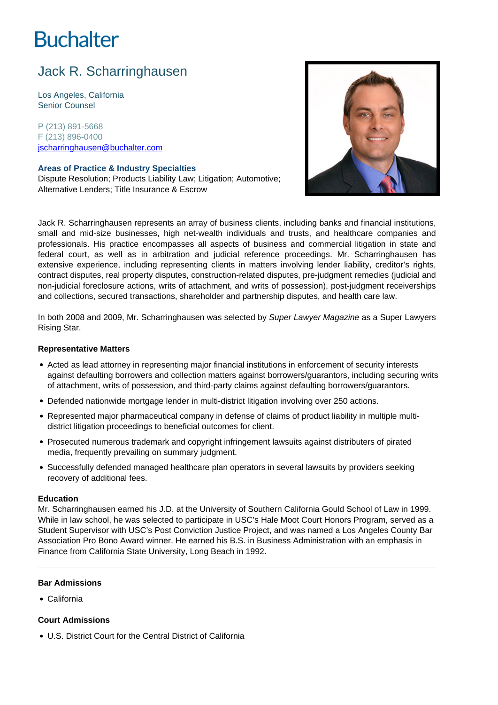# **Buchalter**

# Jack R. Scharringhausen

Los Angeles, California Senior Counsel

P (213) 891-5668 F (213) 896-0400 jscharringhausen@buchalter.com

# **Areas of Practice & Industry Specialties**

Dispute Resolution; Products Liability Law; Litigation; Automotive; Alternative Lenders; Title Insurance & Escrow



Jack R. Scharringhausen represents an array of business clients, including banks and financial institutions, small and mid-size businesses, high net-wealth individuals and trusts, and healthcare companies and professionals. His practice encompasses all aspects of business and commercial litigation in state and federal court, as well as in arbitration and judicial reference proceedings. Mr. Scharringhausen has extensive experience, including representing clients in matters involving lender liability, creditor's rights, contract disputes, real property disputes, construction-related disputes, pre-judgment remedies (judicial and non-judicial foreclosure actions, writs of attachment, and writs of possession), post-judgment receiverships and collections, secured transactions, shareholder and partnership disputes, and health care law.

In both 2008 and 2009, Mr. Scharringhausen was selected by Super Lawyer Magazine as a Super Lawyers Rising Star.

#### **Representative Matters**

- Acted as lead attorney in representing major financial institutions in enforcement of security interests against defaulting borrowers and collection matters against borrowers/guarantors, including securing writs of attachment, writs of possession, and third-party claims against defaulting borrowers/guarantors.
- Defended nationwide mortgage lender in multi-district litigation involving over 250 actions.
- Represented major pharmaceutical company in defense of claims of product liability in multiple multidistrict litigation proceedings to beneficial outcomes for client.
- Prosecuted numerous trademark and copyright infringement lawsuits against distributers of pirated media, frequently prevailing on summary judgment.
- Successfully defended managed healthcare plan operators in several lawsuits by providers seeking recovery of additional fees.

#### **Education**

Mr. Scharringhausen earned his J.D. at the University of Southern California Gould School of Law in 1999. While in law school, he was selected to participate in USC's Hale Moot Court Honors Program, served as a Student Supervisor with USC's Post Conviction Justice Project, and was named a Los Angeles County Bar Association Pro Bono Award winner. He earned his B.S. in Business Administration with an emphasis in Finance from California State University, Long Beach in 1992.

# **Bar Admissions**

California

# **Court Admissions**

U.S. District Court for the Central District of California